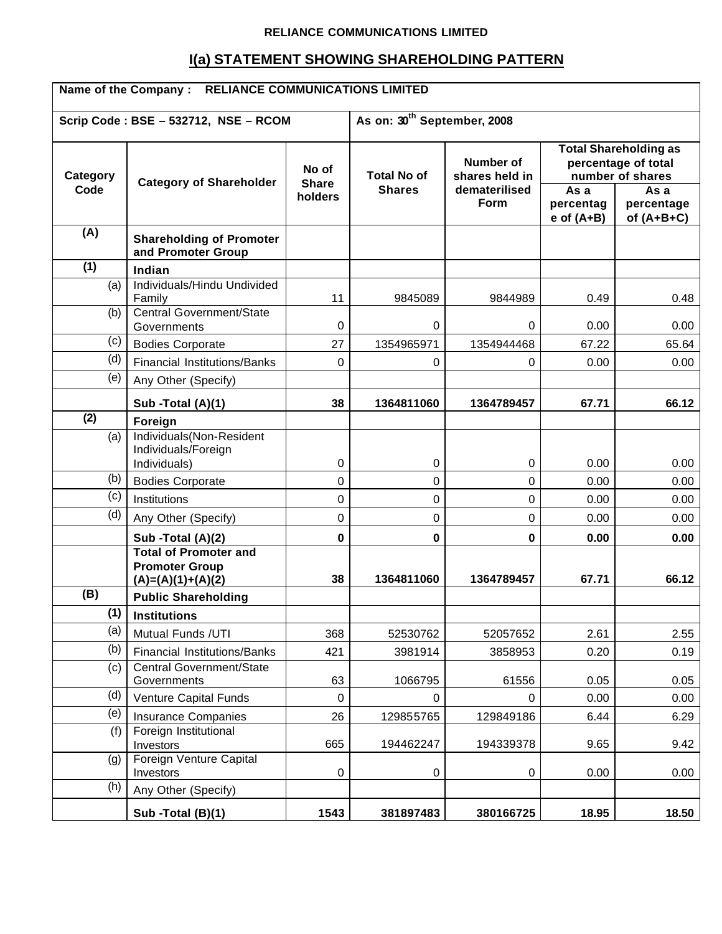#### **RELIANCE COMMUNICATIONS LIMITED**

# **I(a) STATEMENT SHOWING SHAREHOLDING PATTERN**

| <b>RELIANCE COMMUNICATIONS LIMITED</b><br>Name of the Company: |                                                                              |                                         |                    |                             |                                                                         |                                    |
|----------------------------------------------------------------|------------------------------------------------------------------------------|-----------------------------------------|--------------------|-----------------------------|-------------------------------------------------------------------------|------------------------------------|
|                                                                | Scrip Code: BSE - 532712, NSE - RCOM                                         | As on: 30 <sup>th</sup> September, 2008 |                    |                             |                                                                         |                                    |
| Category<br>Code                                               | <b>Category of Shareholder</b>                                               | No of<br><b>Share</b>                   | <b>Total No of</b> | Number of<br>shares held in | <b>Total Shareholding as</b><br>percentage of total<br>number of shares |                                    |
|                                                                |                                                                              | holders                                 | <b>Shares</b>      | dematerilised<br>Form       | As a<br>percentag<br>$e$ of $(A+B)$                                     | As a<br>percentage<br>of $(A+B+C)$ |
| (A)                                                            | <b>Shareholding of Promoter</b><br>and Promoter Group                        |                                         |                    |                             |                                                                         |                                    |
| (1)                                                            | Indian                                                                       |                                         |                    |                             |                                                                         |                                    |
| (a)                                                            | Individuals/Hindu Undivided<br>Family                                        | 11                                      | 9845089            | 9844989                     | 0.49                                                                    | 0.48                               |
| (b)                                                            | Central Government/State<br>Governments                                      | 0                                       | $\mathbf 0$        | $\mathbf 0$                 | 0.00                                                                    | 0.00                               |
| (c)                                                            | <b>Bodies Corporate</b>                                                      | 27                                      | 1354965971         | 1354944468                  | 67.22                                                                   | 65.64                              |
| (d)                                                            | <b>Financial Institutions/Banks</b>                                          | $\Omega$                                | $\mathbf 0$        | 0                           | 0.00                                                                    | 0.00                               |
| (e)                                                            | Any Other (Specify)                                                          |                                         |                    |                             |                                                                         |                                    |
|                                                                | Sub -Total (A)(1)                                                            | 38                                      | 1364811060         | 1364789457                  | 67.71                                                                   | 66.12                              |
| (2)                                                            | Foreign                                                                      |                                         |                    |                             |                                                                         |                                    |
| (a)                                                            | Individuals(Non-Resident<br>Individuals/Foreign                              |                                         |                    |                             |                                                                         |                                    |
|                                                                | Individuals)                                                                 | $\pmb{0}$                               | $\pmb{0}$          | 0                           | 0.00                                                                    | 0.00                               |
| (b)                                                            | <b>Bodies Corporate</b>                                                      | $\mathbf 0$                             | $\pmb{0}$          | $\mathbf 0$                 | 0.00                                                                    | 0.00                               |
| (c)                                                            | Institutions                                                                 | $\mathbf 0$                             | $\mathbf 0$        | $\mathbf 0$                 | 0.00                                                                    | 0.00                               |
| (d)                                                            | Any Other (Specify)                                                          | 0                                       | 0                  | 0                           | 0.00                                                                    | 0.00                               |
|                                                                | Sub -Total (A)(2)                                                            | $\mathbf 0$                             | $\mathbf 0$        | $\mathbf 0$                 | 0.00                                                                    | 0.00                               |
|                                                                | <b>Total of Promoter and</b><br><b>Promoter Group</b><br>$(A)=(A)(1)+(A)(2)$ | 38                                      | 1364811060         | 1364789457                  | 67.71                                                                   | 66.12                              |
| (B)                                                            | <b>Public Shareholding</b>                                                   |                                         |                    |                             |                                                                         |                                    |
| (1)                                                            | <b>Institutions</b>                                                          |                                         |                    |                             |                                                                         |                                    |
| (a)                                                            | Mutual Funds /UTI                                                            | 368                                     | 52530762           | 52057652                    | 2.61                                                                    | 2.55                               |
| (b)                                                            | <b>Financial Institutions/Banks</b>                                          | 421                                     | 3981914            | 3858953                     | 0.20                                                                    | 0.19                               |
| (c)                                                            | <b>Central Government/State</b><br>Governments                               | 63                                      | 1066795            | 61556                       | 0.05                                                                    | 0.05                               |
| (d)                                                            | Venture Capital Funds                                                        | $\boldsymbol{0}$                        | 0                  | 0                           | 0.00                                                                    | 0.00                               |
| (e)                                                            | <b>Insurance Companies</b>                                                   | 26                                      | 129855765          | 129849186                   | 6.44                                                                    | 6.29                               |
| (f)                                                            | Foreign Institutional<br>Investors                                           | 665                                     | 194462247          | 194339378                   | 9.65                                                                    | 9.42                               |
| (g)                                                            | Foreign Venture Capital<br>Investors                                         | $\pmb{0}$                               | $\pmb{0}$          | $\pmb{0}$                   | 0.00                                                                    | 0.00                               |
| (h)                                                            | Any Other (Specify)                                                          |                                         |                    |                             |                                                                         |                                    |
|                                                                | Sub -Total (B)(1)                                                            | 1543                                    | 381897483          | 380166725                   | 18.95                                                                   | 18.50                              |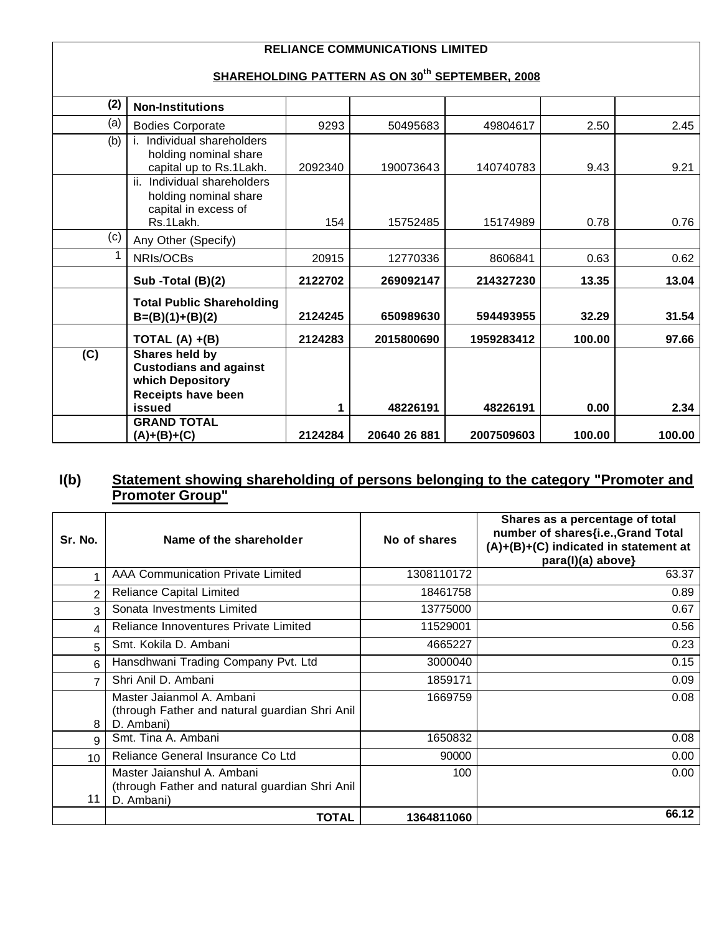## **RELIANCE COMMUNICATIONS LIMITED**

# **SHAREHOLDING PATTERN AS ON 30th SEPTEMBER, 2008**

| (2) | <b>Non-Institutions</b>                                                                   |         |              |            |        |        |
|-----|-------------------------------------------------------------------------------------------|---------|--------------|------------|--------|--------|
| (a) | <b>Bodies Corporate</b>                                                                   | 9293    | 50495683     | 49804617   | 2.50   | 2.45   |
| (b) | Individual shareholders<br>holding nominal share<br>capital up to Rs.1Lakh.               | 2092340 | 190073643    | 140740783  | 9.43   | 9.21   |
|     | ii. Individual shareholders<br>holding nominal share<br>capital in excess of<br>Rs.1Lakh. | 154     | 15752485     | 15174989   | 0.78   | 0.76   |
| (c) | Any Other (Specify)                                                                       |         |              |            |        |        |
| 1   | NRIs/OCBs                                                                                 | 20915   | 12770336     | 8606841    | 0.63   | 0.62   |
|     | Sub -Total (B)(2)                                                                         | 2122702 | 269092147    | 214327230  | 13.35  | 13.04  |
|     | <b>Total Public Shareholding</b><br>$B=(B)(1)+(B)(2)$                                     | 2124245 | 650989630    | 594493955  | 32.29  | 31.54  |
|     | TOTAL $(A) + (B)$                                                                         | 2124283 | 2015800690   | 1959283412 | 100.00 | 97.66  |
| (C) | Shares held by<br><b>Custodians and against</b><br>which Depository<br>Receipts have been |         |              |            |        |        |
|     | issued                                                                                    | 1       | 48226191     | 48226191   | 0.00   | 2.34   |
|     | <b>GRAND TOTAL</b><br>(A)+(B)+(C)                                                         | 2124284 | 20640 26 881 | 2007509603 | 100.00 | 100.00 |

#### **I(b) Statement showing shareholding of persons belonging to the category "Promoter and Promoter Group"**

| Sr. No.         | Name of the shareholder                                                                     | No of shares | Shares as a percentage of total<br>number of shares{i.e., Grand Total<br>(A)+(B)+(C) indicated in statement at<br>para(I)(a) above} |
|-----------------|---------------------------------------------------------------------------------------------|--------------|-------------------------------------------------------------------------------------------------------------------------------------|
|                 | AAA Communication Private Limited                                                           | 1308110172   | 63.37                                                                                                                               |
| $\overline{2}$  | <b>Reliance Capital Limited</b>                                                             | 18461758     | 0.89                                                                                                                                |
| 3               | Sonata Investments Limited                                                                  | 13775000     | 0.67                                                                                                                                |
| 4               | Reliance Innoventures Private Limited                                                       | 11529001     | 0.56                                                                                                                                |
| 5               | Smt. Kokila D. Ambani                                                                       | 4665227      | 0.23                                                                                                                                |
| 6               | Hansdhwani Trading Company Pvt. Ltd                                                         | 3000040      | 0.15                                                                                                                                |
| 7               | Shri Anil D. Ambani                                                                         | 1859171      | 0.09                                                                                                                                |
| 8               | Master Jaianmol A. Ambani<br>(through Father and natural guardian Shri Anil<br>D. Ambani)   | 1669759      | 0.08                                                                                                                                |
| 9               | Smt. Tina A. Ambani                                                                         | 1650832      | 0.08                                                                                                                                |
| 10 <sup>°</sup> | Reliance General Insurance Co Ltd                                                           | 90000        | 0.00 <sub>1</sub>                                                                                                                   |
| 11              | Master Jaianshul A. Ambani<br>(through Father and natural guardian Shri Anil)<br>D. Ambani) | 100          | 0.00 <sub>1</sub>                                                                                                                   |
|                 | <b>TOTAL</b>                                                                                | 1364811060   | 66.12                                                                                                                               |